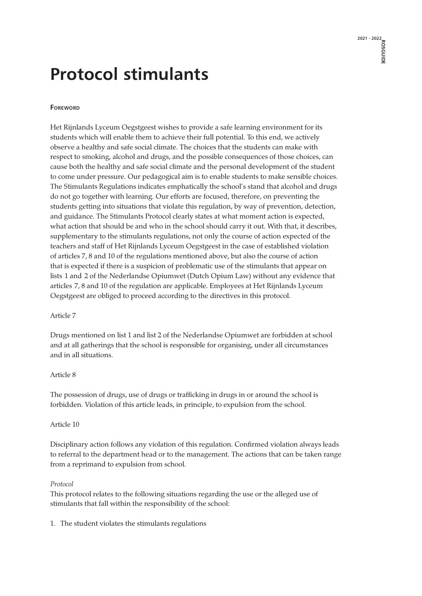# **Protocol stimulants**

## **FOREWORD**

Het Rijnlands Lyceum Oegstgeest wishes to provide a safe learning environment for its students which will enable them to achieve their full potential. To this end, we actively observe a healthy and safe social climate. The choices that the students can make with respect to smoking, alcohol and drugs, and the possible consequences of those choices, can cause both the healthy and safe social climate and the personal development of the student to come under pressure. Our pedagogical aim is to enable students to make sensible choices. The Stimulants Regulations indicates emphatically the school's stand that alcohol and drugs do not go together with learning. Our efforts are focused, therefore, on preventing the students getting into situations that violate this regulation, by way of prevention, detection, and guidance. The Stimulants Protocol clearly states at what moment action is expected, what action that should be and who in the school should carry it out. With that, it describes, supplementary to the stimulants regulations, not only the course of action expected of the teachers and staff of Het Rijnlands Lyceum Oegstgeest in the case of established violation of articles 7, 8 and 10 of the regulations mentioned above, but also the course of action that is expected if there is a suspicion of problematic use of the stimulants that appear on lists 1 and 2 of the Nederlandse Opiumwet (Dutch Opium Law) without any evidence that articles 7, 8 and 10 of the regulation are applicable. Employees at Het Rijnlands Lyceum Oegstgeest are obliged to proceed according to the directives in this protocol.

## Article 7

Drugs mentioned on list 1 and list 2 of the Nederlandse Opiumwet are forbidden at school and at all gatherings that the school is responsible for organising, under all circumstances and in all situations.

# Article 8

The possession of drugs, use of drugs or trafficking in drugs in or around the school is forbidden. Violation of this article leads, in principle, to expulsion from the school.

## Article 10

Disciplinary action follows any violation of this regulation. Confirmed violation always leads to referral to the department head or to the management. The actions that can be taken range from a reprimand to expulsion from school.

## *Protocol*

This protocol relates to the following situations regarding the use or the alleged use of stimulants that fall within the responsibility of the school:

1. The student violates the stimulants regulations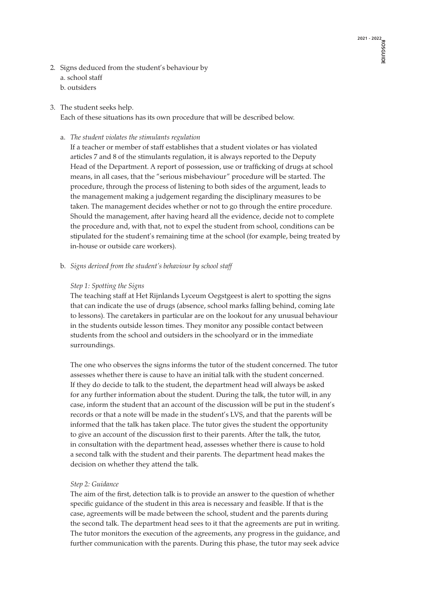- 2. Signs deduced from the student's behaviour by a. school staff b. outsiders
- 3. The student seeks help.

Each of these situations has its own procedure that will be described below.

a. *The student violates the stimulants regulation*

 If a teacher or member of staff establishes that a student violates or has violated articles 7 and 8 of the stimulants regulation, it is always reported to the Deputy Head of the Department. A report of possession, use or trafficking of drugs at school means, in all cases, that the "serious misbehaviour" procedure will be started. The procedure, through the process of listening to both sides of the argument, leads to the management making a judgement regarding the disciplinary measures to be taken. The management decides whether or not to go through the entire procedure. Should the management, after having heard all the evidence, decide not to complete the procedure and, with that, not to expel the student from school, conditions can be stipulated for the student's remaining time at the school (for example, being treated by in-house or outside care workers).

b. *Signs derived from the student's behaviour by school staff*

#### *Step 1: Spotting the Signs*

 The teaching staff at Het Rijnlands Lyceum Oegstgeest is alert to spotting the signs that can indicate the use of drugs (absence, school marks falling behind, coming late to lessons). The caretakers in particular are on the lookout for any unusual behaviour in the students outside lesson times. They monitor any possible contact between students from the school and outsiders in the schoolyard or in the immediate surroundings.

 The one who observes the signs informs the tutor of the student concerned. The tutor assesses whether there is cause to have an initial talk with the student concerned. If they do decide to talk to the student, the department head will always be asked for any further information about the student. During the talk, the tutor will, in any case, inform the student that an account of the discussion will be put in the student's records or that a note will be made in the student's LVS, and that the parents will be informed that the talk has taken place. The tutor gives the student the opportunity to give an account of the discussion first to their parents. After the talk, the tutor, in consultation with the department head, assesses whether there is cause to hold a second talk with the student and their parents. The department head makes the decision on whether they attend the talk.

## *Step 2: Guidance*

 The aim of the first, detection talk is to provide an answer to the question of whether specific guidance of the student in this area is necessary and feasible. If that is the case, agreements will be made between the school, student and the parents during the second talk. The department head sees to it that the agreements are put in writing. The tutor monitors the execution of the agreements, any progress in the guidance, and further communication with the parents. During this phase, the tutor may seek advice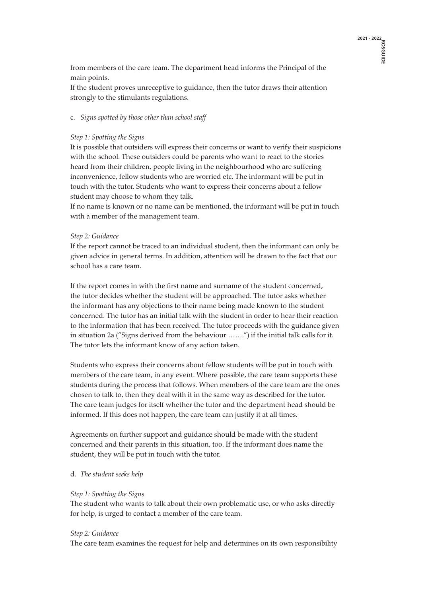from members of the care team. The department head informs the Principal of the main points.

 If the student proves unreceptive to guidance, then the tutor draws their attention strongly to the stimulants regulations.

#### c. *Signs spotted by those other than school staff*

#### *Step 1: Spotting the Signs*

 It is possible that outsiders will express their concerns or want to verify their suspicions with the school. These outsiders could be parents who want to react to the stories heard from their children, people living in the neighbourhood who are suffering inconvenience, fellow students who are worried etc. The informant will be put in touch with the tutor. Students who want to express their concerns about a fellow student may choose to whom they talk.

 If no name is known or no name can be mentioned, the informant will be put in touch with a member of the management team.

#### *Step 2: Guidance*

 If the report cannot be traced to an individual student, then the informant can only be given advice in general terms. In addition, attention will be drawn to the fact that our school has a care team.

 If the report comes in with the first name and surname of the student concerned, the tutor decides whether the student will be approached. The tutor asks whether the informant has any objections to their name being made known to the student concerned. The tutor has an initial talk with the student in order to hear their reaction to the information that has been received. The tutor proceeds with the guidance given in situation 2a ("Signs derived from the behaviour …….") if the initial talk calls for it. The tutor lets the informant know of any action taken.

 Students who express their concerns about fellow students will be put in touch with members of the care team, in any event. Where possible, the care team supports these students during the process that follows. When members of the care team are the ones chosen to talk to, then they deal with it in the same way as described for the tutor. The care team judges for itself whether the tutor and the department head should be informed. If this does not happen, the care team can justify it at all times.

 Agreements on further support and guidance should be made with the student concerned and their parents in this situation, too. If the informant does name the student, they will be put in touch with the tutor.

#### d. *The student seeks help*

#### *Step 1: Spotting the Signs*

 The student who wants to talk about their own problematic use, or who asks directly for help, is urged to contact a member of the care team.

#### *Step 2: Guidance*

The care team examines the request for help and determines on its own responsibility